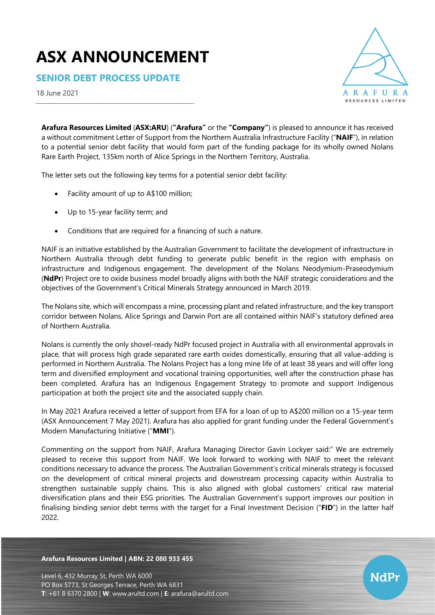# **ASX ANNOUNCEMENT**

**SENIOR DEBT PROCESS UPDATE**

18 June 2021



**NdPr** 

**Arafura Resources Limited** (**ASX:ARU**) (**"Arafura"** or the **"Company"**) is pleased to announce it has received a without commitment Letter of Support from the Northern Australia Infrastructure Facility ("**NAIF**"), in relation to a potential senior debt facility that would form part of the funding package for its wholly owned Nolans Rare Earth Project, 135km north of Alice Springs in the Northern Territory, Australia.

The letter sets out the following key terms for a potential senior debt facility:

- Facility amount of up to A\$100 million;
- Up to 15-year facility term; and
- Conditions that are required for a financing of such a nature.

NAIF is an initiative established by the Australian Government to facilitate the development of infrastructure in Northern Australia through debt funding to generate public benefit in the region with emphasis on infrastructure and Indigenous engagement. The development of the Nolans Neodymium-Praseodymium (**NdPr**) Project ore to oxide business model broadly aligns with both the NAIF strategic considerations and the objectives of the Government's Critical Minerals Strategy announced in March 2019.

The Nolans site, which will encompass a mine, processing plant and related infrastructure, and the key transport corridor between Nolans, Alice Springs and Darwin Port are all contained within NAIF's statutory defined area of Northern Australia.

Nolans is currently the only shovel-ready NdPr focused project in Australia with all environmental approvals in place, that will process high grade separated rare earth oxides domestically, ensuring that all value-adding is performed in Northern Australia. The Nolans Project has a long mine life of at least 38 years and will offer long term and diversified employment and vocational training opportunities, well after the construction phase has been completed. Arafura has an Indigenous Engagement Strategy to promote and support Indigenous participation at both the project site and the associated supply chain.

In May 2021 Arafura received a letter of support from EFA for a loan of up to A\$200 million on a 15-year term (ASX Announcement 7 May 2021). Arafura has also applied for grant funding under the Federal Government's Modern Manufacturing Initiative ("**MMI**").

Commenting on the support from NAIF, Arafura Managing Director Gavin Lockyer said:" We are extremely pleased to receive this support from NAIF. We look forward to working with NAIF to meet the relevant conditions necessary to advance the process. The Australian Government's critical minerals strategy is focussed on the development of critical mineral projects and downstream processing capacity within Australia to strengthen sustainable supply chains. This is also aligned with global customers' critical raw material diversification plans and their ESG priorities. The Australian Government's support improves our position in finalising binding senior debt terms with the target for a Final Investment Decision ("**FID**") in the latter half 2022.

#### **Arafura Resources Limited | ABN: 22 080 933 455**